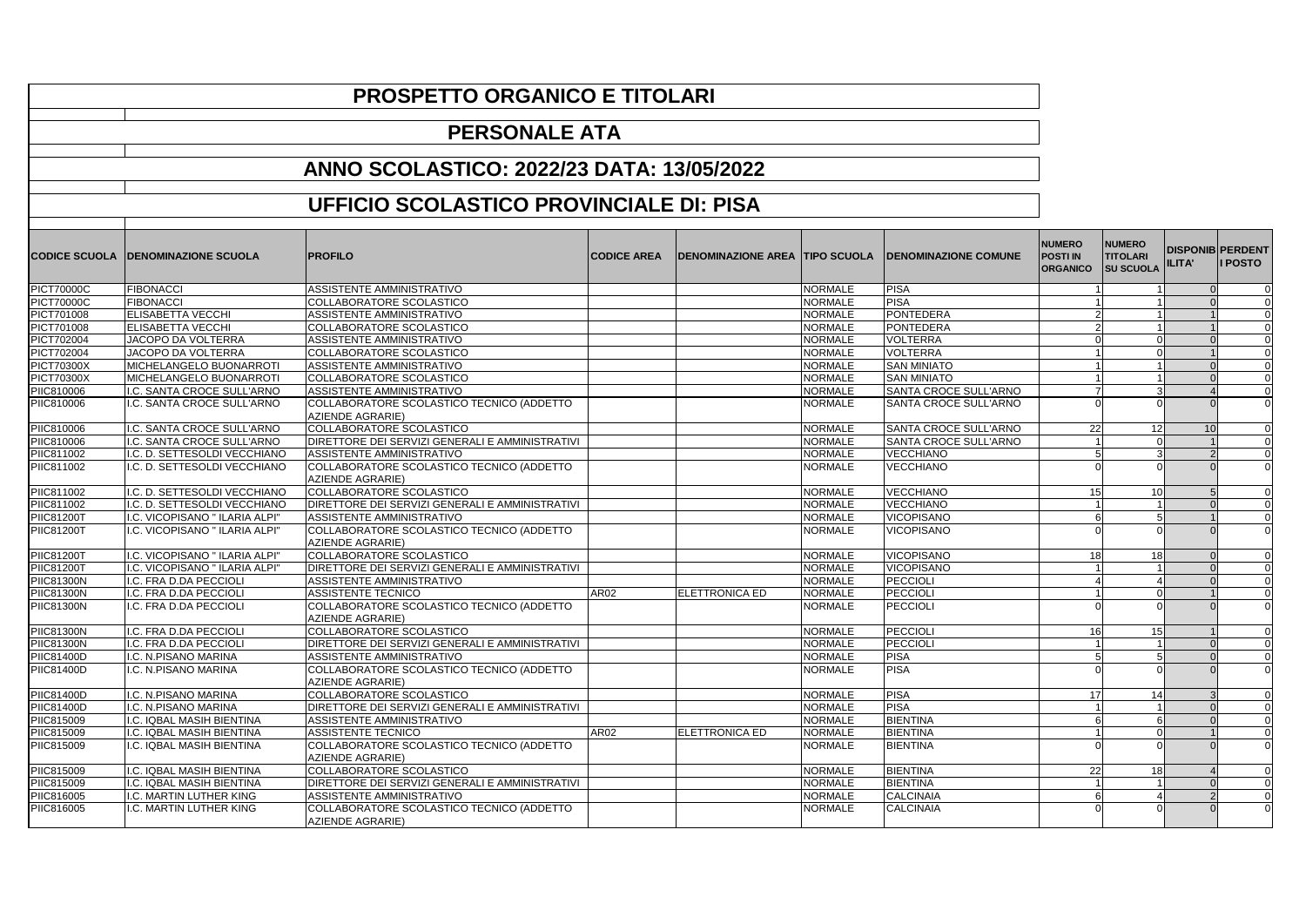## **PROSPETTO ORGANICO E TITOLARI**

## **PERSONALE ATA**

## **ANNO SCOLASTICO: 2022/23 DATA: 13/05/2022**

## **UFFICIO SCOLASTICO PROVINCIALE DI: PISA**

| <b>CODICE SCUOLA</b> | <b>DENOMINAZIONE SCUOLA</b>    | <b>PROFILO</b>                                                       | <b>CODICE AREA</b> | <b>DENOMINAZIONE AREA TIPO SCUOLA</b> |                | <b>DENOMINAZIONE COMUNE</b>  | <b>NUMERO</b><br><b>POSTI IN</b><br><b>ORGANICO</b> | <b>NUMERO</b><br><b>TITOLARI</b><br><b>SU SCUOLA</b> | ILITA' | <b>DISPONIB PERDENT</b><br><b>I POSTO</b> |
|----------------------|--------------------------------|----------------------------------------------------------------------|--------------------|---------------------------------------|----------------|------------------------------|-----------------------------------------------------|------------------------------------------------------|--------|-------------------------------------------|
|                      |                                |                                                                      |                    |                                       |                |                              |                                                     |                                                      |        |                                           |
| <b>PICT70000C</b>    | <b>FIBONACCI</b>               | ASSISTENTE AMMINISTRATIVO                                            |                    |                                       | <b>NORMALE</b> | <b>PISA</b>                  |                                                     |                                                      |        | $\mathbf 0$                               |
| <b>PICT70000C</b>    | <b>FIBONACCI</b>               | COLLABORATORE SCOLASTICO                                             |                    |                                       | <b>NORMALE</b> | <b>PISA</b>                  |                                                     |                                                      |        | $\mathbf 0$                               |
| PICT701008           | <b>ELISABETTA VECCHI</b>       | ASSISTENTE AMMINISTRATIVO                                            |                    |                                       | <b>NORMALE</b> | PONTEDERA                    |                                                     |                                                      |        | $\Omega$                                  |
| PICT701008           | <b>ELISABETTA VECCHI</b>       | COLLABORATORE SCOLASTICO                                             |                    |                                       | <b>NORMALE</b> | PONTEDERA                    |                                                     | $\mathcal{D}$<br>$\blacktriangleleft$                |        | $\mathbf 0$                               |
| PICT702004           | JACOPO DA VOLTERRA             | ASSISTENTE AMMINISTRATIVO                                            |                    |                                       | <b>NORMALE</b> | <b>VOLTERRA</b>              | $\Omega$                                            | $\Omega$                                             |        | $\mathbf 0$                               |
| PICT702004           | JACOPO DA VOLTERRA             | <b>COLLABORATORE SCOLASTICO</b>                                      |                    |                                       | <b>NORMALE</b> | VOLTERRA                     |                                                     | $\Omega$                                             |        | $\Omega$                                  |
| <b>PICT70300X</b>    | MICHELANGELO BUONARROTI        | <b>ASSISTENTE AMMINISTRATIVO</b>                                     |                    |                                       | <b>NORMALE</b> | <b>SAN MINIATO</b>           |                                                     | $\blacktriangleleft$                                 |        | $\Omega$                                  |
| PICT70300X           | MICHELANGELO BUONARROTI        | COLLABORATORE SCOLASTICO                                             |                    |                                       | <b>NORMALE</b> | <b>SAN MINIATO</b>           |                                                     |                                                      |        | $\Omega$                                  |
| PIIC810006           | I.C. SANTA CROCE SULL'ARNO     | ASSISTENTE AMMINISTRATIVO                                            |                    |                                       | <b>NORMALE</b> | SANTA CROCE SULL'ARNO        |                                                     | 3                                                    |        | $\mathbf 0$                               |
| PIIC810006           | I.C. SANTA CROCE SULL'ARNO     | COLLABORATORE SCOLASTICO TECNICO (ADDETTO<br><b>AZIENDE AGRARIE)</b> |                    |                                       | <b>NORMALE</b> | SANTA CROCE SULL'ARNO        |                                                     |                                                      |        | $\mathbf 0$                               |
| PIIC810006           | I.C. SANTA CROCE SULL'ARNO     | COLLABORATORE SCOLASTICO                                             |                    |                                       | <b>NORMALE</b> | <b>SANTA CROCE SULL'ARNO</b> | 22                                                  | 12                                                   | 10     | $\Omega$                                  |
| PIIC810006           | I.C. SANTA CROCE SULL'ARNO     | DIRETTORE DEI SERVIZI GENERALI E AMMINISTRATIVI                      |                    |                                       | <b>NORMALE</b> | SANTA CROCE SULL'ARNO        |                                                     | $\Omega$                                             |        | $\mathbf 0$                               |
| PIIC811002           | I.C. D. SETTESOLDI VECCHIANO   | ASSISTENTE AMMINISTRATIVO                                            |                    |                                       | <b>NORMALE</b> | <b>VECCHIANO</b>             | 5                                                   | 3                                                    |        | $\mathbf 0$                               |
| PIIC811002           | I.C. D. SETTESOLDI VECCHIANO   | COLLABORATORE SCOLASTICO TECNICO (ADDETTO<br>AZIENDE AGRARIE)        |                    |                                       | <b>NORMALE</b> | <b>VECCHIANO</b>             |                                                     | $\Omega$                                             |        | $\mathbf 0$                               |
| PIIC811002           | I.C. D. SETTESOLDI VECCHIANO   | COLLABORATORE SCOLASTICO                                             |                    |                                       | <b>NORMALE</b> | <b>VECCHIANO</b>             | 15                                                  | 10 <sup>1</sup>                                      |        | $\mathbf 0$                               |
| PIIC811002           | I.C. D. SETTESOLDI VECCHIANO   | DIRETTORE DEI SERVIZI GENERALI E AMMINISTRATIVI                      |                    |                                       | <b>NORMALE</b> | <b>VECCHIANO</b>             |                                                     |                                                      |        | $\Omega$                                  |
| <b>PIIC81200T</b>    | I.C. VICOPISANO " ILARIA ALPI" | ASSISTENTE AMMINISTRATIVO                                            |                    |                                       | <b>NORMALE</b> | <b>VICOPISANO</b>            |                                                     |                                                      |        | $\Omega$                                  |
| PIIC81200T           | I.C. VICOPISANO " ILARIA ALPI" | COLLABORATORE SCOLASTICO TECNICO (ADDETTO<br><b>AZIENDE AGRARIE)</b> |                    |                                       | <b>NORMALE</b> | <b>VICOPISANO</b>            |                                                     |                                                      |        | $\Omega$                                  |
| <b>PIIC81200T</b>    | I.C. VICOPISANO " ILARIA ALPI" | COLLABORATORE SCOLASTICO                                             |                    |                                       | <b>NORMALE</b> | <b>VICOPISANO</b>            | 18 <sup>1</sup>                                     | 18 <sup>1</sup>                                      |        | $\Omega$<br>$\mathbf 0$                   |
| <b>PIIC81200T</b>    | I.C. VICOPISANO " ILARIA ALPI" | DIRETTORE DEI SERVIZI GENERALI E AMMINISTRATIVI                      |                    |                                       | <b>NORMALE</b> | <b>VICOPISANO</b>            |                                                     |                                                      |        | $\Omega$<br>$\Omega$                      |
| <b>PIIC81300N</b>    | I.C. FRA D.DA PECCIOLI         | <b>ASSISTENTE AMMINISTRATIVO</b>                                     |                    |                                       | <b>NORMALE</b> | PECCIOLI                     |                                                     | 4                                                    |        | $\Omega$                                  |
| <b>PIIC81300N</b>    | I.C. FRA D.DA PECCIOLI         | <b>ASSISTENTE TECNICO</b>                                            | AR02               | ELETTRONICA ED                        | <b>NORMALE</b> | <b>PECCIOLI</b>              |                                                     | $\Omega$                                             |        | $\Omega$                                  |
| <b>PIIC81300N</b>    | I.C. FRA D.DA PECCIOLI         | COLLABORATORE SCOLASTICO TECNICO (ADDETTO<br><b>AZIENDE AGRARIE)</b> |                    |                                       | <b>NORMALE</b> | PECCIOLI                     |                                                     | $\Omega$                                             |        | $\Omega$                                  |
| <b>PIIC81300N</b>    | I.C. FRA D.DA PECCIOLI         | <b>COLLABORATORE SCOLASTICO</b>                                      |                    |                                       | <b>NORMALE</b> | PECCIOLI                     | 16                                                  | 15                                                   |        | $\mathbf 0$                               |
| <b>PIIC81300N</b>    | I.C. FRA D.DA PECCIOLI         | DIRETTORE DEI SERVIZI GENERALI E AMMINISTRATIVI                      |                    |                                       | <b>NORMALE</b> | PECCIOLI                     |                                                     | $\blacktriangleleft$                                 |        | $\mathbf 0$                               |
| PIIC81400D           | I.C. N.PISANO MARINA           | <b>ASSISTENTE AMMINISTRATIVO</b>                                     |                    |                                       | <b>NORMALE</b> | <b>PISA</b>                  |                                                     |                                                      |        | $\Omega$                                  |
| <b>PIIC81400D</b>    | I.C. N.PISANO MARINA           | COLLABORATORE SCOLASTICO TECNICO (ADDETTO                            |                    |                                       | <b>NORMALE</b> | <b>PISA</b>                  |                                                     |                                                      |        | $\Omega$                                  |
|                      |                                | <b>AZIENDE AGRARIE)</b>                                              |                    |                                       |                |                              |                                                     |                                                      |        |                                           |
| <b>PIIC81400D</b>    | I.C. N.PISANO MARINA           | COLLABORATORE SCOLASTICO                                             |                    |                                       | <b>NORMALE</b> | <b>PISA</b>                  | 17                                                  | 14                                                   |        | $\mathbf 0$                               |
| PIIC81400D           | I.C. N.PISANO MARINA           | DIRETTORE DEI SERVIZI GENERALI E AMMINISTRATIVI                      |                    |                                       | <b>NORMALE</b> | <b>PISA</b>                  | $\overline{1}$                                      | $\overline{1}$                                       |        | $\Omega$                                  |
| PIIC815009           | I.C. IQBAL MASIH BIENTINA      | ASSISTENTE AMMINISTRATIVO                                            |                    |                                       | <b>NORMALE</b> | <b>BIENTINA</b>              |                                                     | 6                                                    |        | $\mathbf 0$                               |
| PIIC815009           | I.C. IQBAL MASIH BIENTINA      | <b>ASSISTENTE TECNICO</b>                                            | AR02               | <b>ELETTRONICA ED</b>                 | <b>NORMALE</b> | <b>BIENTINA</b>              |                                                     | $\Omega$                                             |        | $\mathbf 0$                               |
| PIIC815009           | I.C. IQBAL MASIH BIENTINA      | COLLABORATORE SCOLASTICO TECNICO (ADDETTO                            |                    |                                       | <b>NORMALE</b> | <b>BIENTINA</b>              |                                                     | $\Omega$                                             |        | $\Omega$                                  |
|                      |                                | <b>AZIENDE AGRARIE)</b>                                              |                    |                                       |                |                              |                                                     |                                                      |        |                                           |
| PIIC815009           | I.C. IQBAL MASIH BIENTINA      | COLLABORATORE SCOLASTICO                                             |                    |                                       | <b>NORMALE</b> | <b>BIENTINA</b>              | 22                                                  | 18 <sup>1</sup>                                      |        | $\Omega$                                  |
| PIIC815009           | I.C. IQBAL MASIH BIENTINA      | DIRETTORE DEI SERVIZI GENERALI E AMMINISTRATIVI                      |                    |                                       | <b>NORMALE</b> | <b>BIENTINA</b>              |                                                     | $\overline{A}$                                       |        | $\Omega$                                  |
| PIIC816005           | I.C. MARTIN LUTHER KING        | <b>ASSISTENTE AMMINISTRATIVO</b>                                     |                    |                                       | <b>NORMALE</b> | CALCINAIA                    |                                                     |                                                      |        | $\Omega$                                  |
| PIIC816005           | I.C. MARTIN LUTHER KING        | COLLABORATORE SCOLASTICO TECNICO (ADDETTO<br><b>AZIENDE AGRARIE)</b> |                    |                                       | <b>NORMALE</b> | <b>CALCINAIA</b>             |                                                     |                                                      |        | $\Omega$                                  |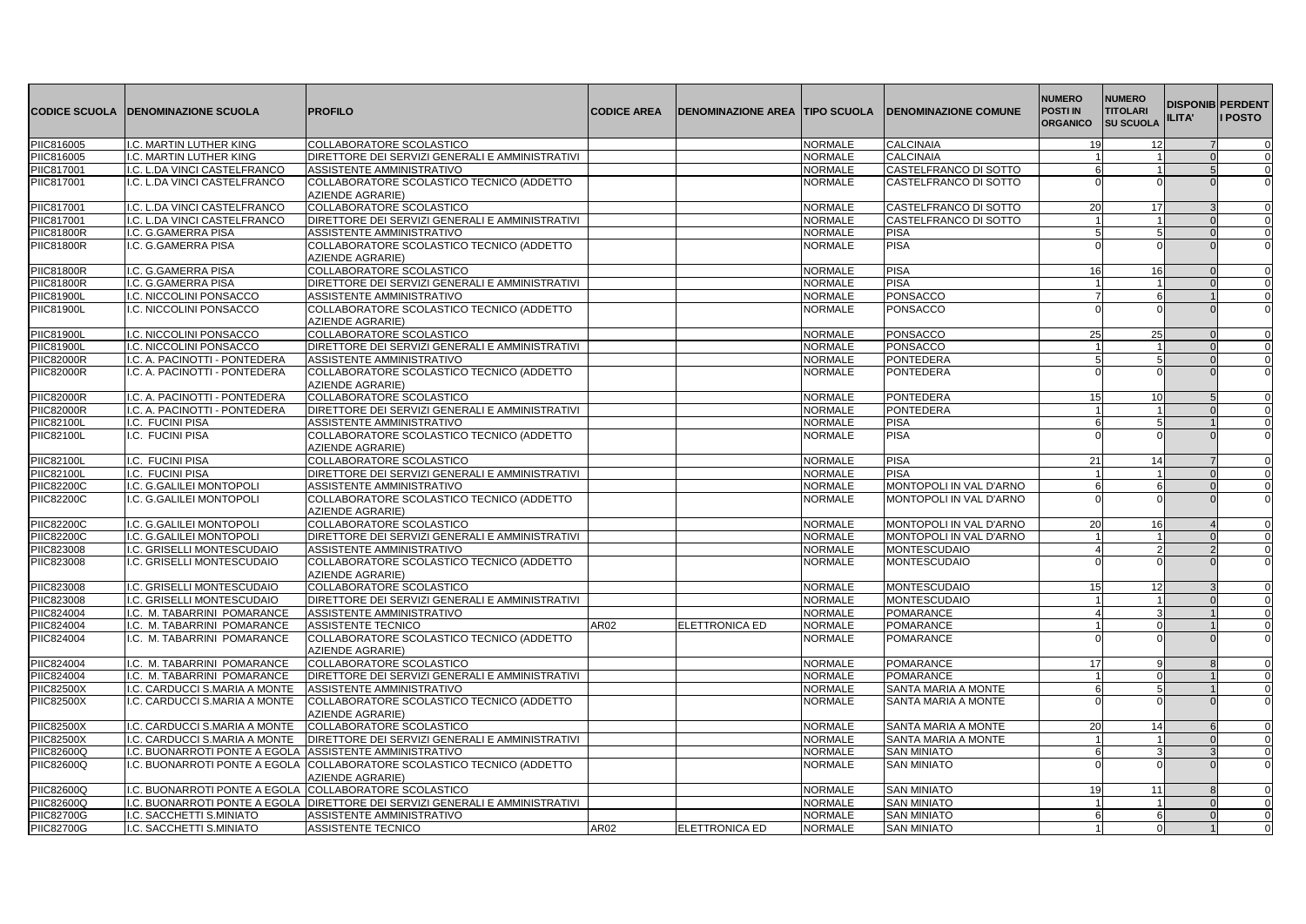|                   | <b>CODICE SCUOLA IDENOMINAZIONE SCUOLA</b> | <b>PROFILO</b>                                                | <b>CODICE AREA</b> | <b>DENOMINAZIONE AREA TIPO SCUOLA</b> |                | <b>IDENOMINAZIONE COMUNE</b> | <b>NUMERO</b><br><b>POSTI IN</b><br><b>ORGANICO</b> | <b>NUMERO</b><br><b>TITOLARI</b><br><b>SU SCUOLA</b> | <b>DISPONIB PERDENT</b><br>ILITA' | <b>I POSTO</b> |
|-------------------|--------------------------------------------|---------------------------------------------------------------|--------------------|---------------------------------------|----------------|------------------------------|-----------------------------------------------------|------------------------------------------------------|-----------------------------------|----------------|
| PIIC816005        | I.C. MARTIN LUTHER KING                    | COLLABORATORE SCOLASTICO                                      |                    |                                       | <b>NORMALE</b> | <b>CALCINAIA</b>             | 19                                                  | 12                                                   |                                   | $\Omega$       |
| PIIC816005        | I.C. MARTIN LUTHER KING                    | DIRETTORE DEI SERVIZI GENERALI E AMMINISTRATIVI               |                    |                                       | <b>NORMALE</b> | <b>CALCINAIA</b>             | $\overline{1}$                                      |                                                      |                                   | $\Omega$       |
| PIIC817001        | I.C. L.DA VINCI CASTELFRANCO               | ASSISTENTE AMMINISTRATIVO                                     |                    |                                       | <b>NORMALE</b> | CASTELFRANCO DI SOTTO        | 6                                                   |                                                      |                                   | 0              |
| PIIC817001        | I.C. L.DA VINCI CASTELFRANCO               | COLLABORATORE SCOLASTICO TECNICO (ADDETTO<br>AZIENDE AGRARIE) |                    |                                       | <b>NORMALE</b> | CASTELFRANCO DI SOTTO        |                                                     |                                                      |                                   | $\Omega$       |
| PIIC817001        | I.C. L.DA VINCI CASTELFRANCO               | COLLABORATORE SCOLASTICO                                      |                    |                                       | <b>NORMALE</b> | CASTELFRANCO DI SOTTO        | 20                                                  | 17                                                   |                                   |                |
| PIIC817001        | I.C. L.DA VINCI CASTELFRANCO               | DIRETTORE DEI SERVIZI GENERALI E AMMINISTRATIVI               |                    |                                       | <b>NORMALE</b> | CASTELFRANCO DI SOTTO        |                                                     |                                                      |                                   | 0              |
| <b>PIIC81800R</b> | I.C. G.GAMERRA PISA                        | ASSISTENTE AMMINISTRATIVO                                     |                    |                                       | NORMALE        | <b>PISA</b>                  | 5                                                   | 5                                                    |                                   |                |
| <b>PIIC81800R</b> | I.C. G.GAMERRA PISA                        | COLLABORATORE SCOLASTICO TECNICO (ADDETTO<br>AZIENDE AGRARIE) |                    |                                       | <b>NORMALE</b> | <b>PISA</b>                  |                                                     |                                                      |                                   |                |
| PIIC81800R        | I.C. G.GAMERRA PISA                        | COLLABORATORE SCOLASTICO                                      |                    |                                       | <b>NORMALE</b> | <b>PISA</b>                  | 16                                                  | 16                                                   |                                   | 0              |
| <b>PIIC81800R</b> | I.C. G.GAMERRA PISA                        | DIRETTORE DEI SERVIZI GENERALI E AMMINISTRATIVI               |                    |                                       | <b>NORMALE</b> | <b>PISA</b>                  | $\blacktriangleleft$                                |                                                      |                                   | $\mathbf 0$    |
| <b>PIIC81900L</b> | I.C. NICCOLINI PONSACCO                    | ASSISTENTE AMMINISTRATIVO                                     |                    |                                       | <b>NORMALE</b> | <b>PONSACCO</b>              | $\overline{7}$                                      | 6                                                    |                                   | $\Omega$       |
| <b>PIIC81900L</b> | I.C. NICCOLINI PONSACCO                    | COLLABORATORE SCOLASTICO TECNICO (ADDETTO<br>AZIENDE AGRARIE) |                    |                                       | <b>NORMALE</b> | PONSACCO                     |                                                     |                                                      |                                   |                |
| <b>PIIC81900L</b> | I.C. NICCOLINI PONSACCO                    | COLLABORATORE SCOLASTICO                                      |                    |                                       | <b>NORMALE</b> | <b>PONSACCO</b>              | 25                                                  | 25                                                   |                                   | $\Omega$       |
| <b>PIIC81900L</b> | I.C. NICCOLINI PONSACCO                    | DIRETTORE DEI SERVIZI GENERALI E AMMINISTRATIVI               |                    |                                       | <b>NORMALE</b> | <b>PONSACCO</b>              | 11                                                  |                                                      |                                   | $\Omega$       |
| <b>PIIC82000R</b> | I.C. A. PACINOTTI - PONTEDERA              | ASSISTENTE AMMINISTRATIVO                                     |                    |                                       | <b>NORMALE</b> | <b>PONTEDERA</b>             | 5                                                   |                                                      |                                   | $\Omega$       |
| <b>PIIC82000R</b> | I.C. A. PACINOTTI - PONTEDERA              | COLLABORATORE SCOLASTICO TECNICO (ADDETTO<br>AZIENDE AGRARIE) |                    |                                       | <b>NORMALE</b> | <b>PONTEDERA</b>             |                                                     |                                                      |                                   |                |
| <b>PIIC82000R</b> | I.C. A. PACINOTTI - PONTEDERA              | COLLABORATORE SCOLASTICO                                      |                    |                                       | <b>NORMALE</b> | PONTEDERA                    | 15                                                  | 10                                                   |                                   |                |
| <b>PIIC82000R</b> | I.C. A. PACINOTTI - PONTEDERA              | DIRETTORE DEI SERVIZI GENERALI E AMMINISTRATIVI               |                    |                                       | <b>NORMALE</b> | <b>PONTEDERA</b>             | 1                                                   |                                                      |                                   | $\Omega$       |
| <b>PIIC82100L</b> | I.C. FUCINI PISA                           | ASSISTENTE AMMINISTRATIVO                                     |                    |                                       | <b>NORMALE</b> | <b>PISA</b>                  | 6                                                   | 5 <sup>1</sup>                                       |                                   | $\Omega$       |
| <b>PIIC82100L</b> | I.C. FUCINI PISA                           | COLLABORATORE SCOLASTICO TECNICO (ADDETTO<br>AZIENDE AGRARIE) |                    |                                       | <b>NORMALE</b> | <b>PISA</b>                  |                                                     | $\Omega$                                             |                                   |                |
| <b>PIIC82100L</b> | I.C. FUCINI PISA                           | COLLABORATORE SCOLASTICO                                      |                    |                                       | <b>NORMALE</b> | <b>PISA</b>                  | 21                                                  | 14                                                   |                                   | 0              |
| PIIC82100L        | I.C. FUCINI PISA                           | DIRETTORE DEI SERVIZI GENERALI E AMMINISTRATIVI               |                    |                                       | <b>NORMALE</b> | <b>PISA</b>                  | 1                                                   |                                                      |                                   | $\Omega$       |
| <b>PIIC82200C</b> | I.C. G.GALILEI MONTOPOLI                   | ASSISTENTE AMMINISTRATIVO                                     |                    |                                       | <b>NORMALE</b> | MONTOPOLI IN VAL D'ARNO      | 6                                                   | 6                                                    |                                   | 0              |
| <b>PIIC82200C</b> | I.C. G.GALILEI MONTOPOLI                   | COLLABORATORE SCOLASTICO TECNICO (ADDETTO<br>AZIENDE AGRARIE) |                    |                                       | <b>NORMALE</b> | MONTOPOLI IN VAL D'ARNO      |                                                     |                                                      |                                   |                |
| <b>PIIC82200C</b> | I.C. G.GALILEI MONTOPOLI                   | COLLABORATORE SCOLASTICO                                      |                    |                                       | <b>NORMALE</b> | MONTOPOLI IN VAL D'ARNO      | 20                                                  | 16                                                   |                                   | $\Omega$       |
| <b>PIIC82200C</b> | I.C. G.GALILEI MONTOPOLI                   | DIRETTORE DEI SERVIZI GENERALI E AMMINISTRATIVI               |                    |                                       | <b>NORMALE</b> | MONTOPOLI IN VAL D'ARNO      | 1                                                   |                                                      |                                   | $\Omega$       |
| PIIC823008        | I.C. GRISELLI MONTESCUDAIO                 | ASSISTENTE AMMINISTRATIVO                                     |                    |                                       | <b>NORMALE</b> | <b>MONTESCUDAIO</b>          | $\overline{4}$                                      | $\mathcal{P}$                                        |                                   |                |
| <b>PIIC823008</b> | I.C. GRISELLI MONTESCUDAIO                 | COLLABORATORE SCOLASTICO TECNICO (ADDETTO<br>AZIENDE AGRARIE) |                    |                                       | <b>NORMALE</b> | <b>MONTESCUDAIO</b>          |                                                     |                                                      |                                   |                |
| PIIC823008        | I.C. GRISELLI MONTESCUDAIO                 | COLLABORATORE SCOLASTICO                                      |                    |                                       | <b>NORMALE</b> | <b>MONTESCUDAIO</b>          | 15                                                  | 12                                                   |                                   |                |
| <b>PIIC823008</b> | I.C. GRISELLI MONTESCUDAIO                 | DIRETTORE DEI SERVIZI GENERALI E AMMINISTRATIVI               |                    |                                       | <b>NORMALE</b> | <b>MONTESCUDAIO</b>          | $\mathbf{1}$                                        |                                                      |                                   |                |
| <b>PIIC824004</b> | I.C. M. TABARRINI POMARANCE                | ASSISTENTE AMMINISTRATIVO                                     |                    |                                       | <b>NORMALE</b> | <b>POMARANCE</b>             | $\overline{4}$                                      | 3                                                    |                                   | $\Omega$       |
| PIIC824004        | I.C. M. TABARRINI POMARANCE                | ASSISTENTE TECNICO                                            | AR02               | ELETTRONICA ED                        | <b>NORMALE</b> | POMARANCE                    | $\overline{1}$                                      |                                                      |                                   | $\Omega$       |
| <b>PIIC824004</b> | I.C. M. TABARRINI POMARANCE                | COLLABORATORE SCOLASTICO TECNICO (ADDETTO<br>AZIENDE AGRARIE) |                    |                                       | <b>NORMALE</b> | <b>POMARANCE</b>             |                                                     |                                                      |                                   | $\Omega$       |
| PIIC824004        | I.C. M. TABARRINI POMARANCE                | COLLABORATORE SCOLASTICO                                      |                    |                                       | <b>NORMALE</b> | POMARANCE                    | 17                                                  | q                                                    |                                   | 0              |
| PIIC824004        | I.C. M. TABARRINI POMARANCE                | DIRETTORE DEI SERVIZI GENERALI E AMMINISTRATIVI               |                    |                                       | <b>NORMALE</b> | <b>POMARANCE</b>             | 1                                                   | $\Omega$                                             |                                   | $\Omega$       |
| <b>PIIC82500X</b> | I.C. CARDUCCI S.MARIA A MONTE              | ASSISTENTE AMMINISTRATIVO                                     |                    |                                       | <b>NORMALE</b> | SANTA MARIA A MONTE          | 6                                                   | 5 <sup>1</sup>                                       |                                   |                |
| <b>PIIC82500X</b> | I.C. CARDUCCI S.MARIA A MONTE              | COLLABORATORE SCOLASTICO TECNICO (ADDETTO<br>AZIENDE AGRARIE) |                    |                                       | <b>NORMALE</b> | SANTA MARIA A MONTE          |                                                     |                                                      |                                   |                |
| <b>PIIC82500X</b> | I.C. CARDUCCI S.MARIA A MONTE              | COLLABORATORE SCOLASTICO                                      |                    |                                       | <b>NORMALE</b> | SANTA MARIA A MONTE          | 20                                                  | 14                                                   |                                   | $\Omega$       |
| <b>PIIC82500X</b> | I.C. CARDUCCI S.MARIA A MONTE              | DIRETTORE DEI SERVIZI GENERALI E AMMINISTRATIVI               |                    |                                       | <b>NORMALE</b> | SANTA MARIA A MONTE          | 11                                                  |                                                      |                                   |                |
| PIIC82600Q        | I.C. BUONARROTI PONTE A EGOLA              | ASSISTENTE AMMINISTRATIVO                                     |                    |                                       | <b>NORMALE</b> | <b>SAN MINIATO</b>           | 6                                                   |                                                      |                                   | 0              |
| <b>PIIC82600Q</b> | I.C. BUONARROTI PONTE A EGOLA              | COLLABORATORE SCOLASTICO TECNICO (ADDETTO<br>AZIENDE AGRARIE) |                    |                                       | <b>NORMALE</b> | <b>SAN MINIATO</b>           |                                                     |                                                      |                                   |                |
| PIIC82600Q        | I.C. BUONARROTI PONTE A EGOLA              | COLLABORATORE SCOLASTICO                                      |                    |                                       | <b>NORMALE</b> | <b>SAN MINIATO</b>           | 19                                                  | 11                                                   |                                   |                |
| PIIC82600Q        | I.C. BUONARROTI PONTE A EGOLA              | DIRETTORE DEI SERVIZI GENERALI E AMMINISTRATIVI               |                    |                                       | <b>NORMALE</b> | <b>SAN MINIATO</b>           | 1                                                   |                                                      |                                   | 0              |
| <b>PIIC82700G</b> | I.C. SACCHETTI S.MINIATO                   | ASSISTENTE AMMINISTRATIVO                                     |                    |                                       | <b>NORMALE</b> | <b>SAN MINIATO</b>           | $\overline{6}$                                      | 6                                                    |                                   | $\Omega$       |
| <b>PIIC82700G</b> | I.C. SACCHETTI S.MINIATO                   | ASSISTENTE TECNICO                                            | AR02               | ELETTRONICA ED                        | <b>NORMALE</b> | <b>SAN MINIATO</b>           | 11                                                  | $\Omega$                                             |                                   |                |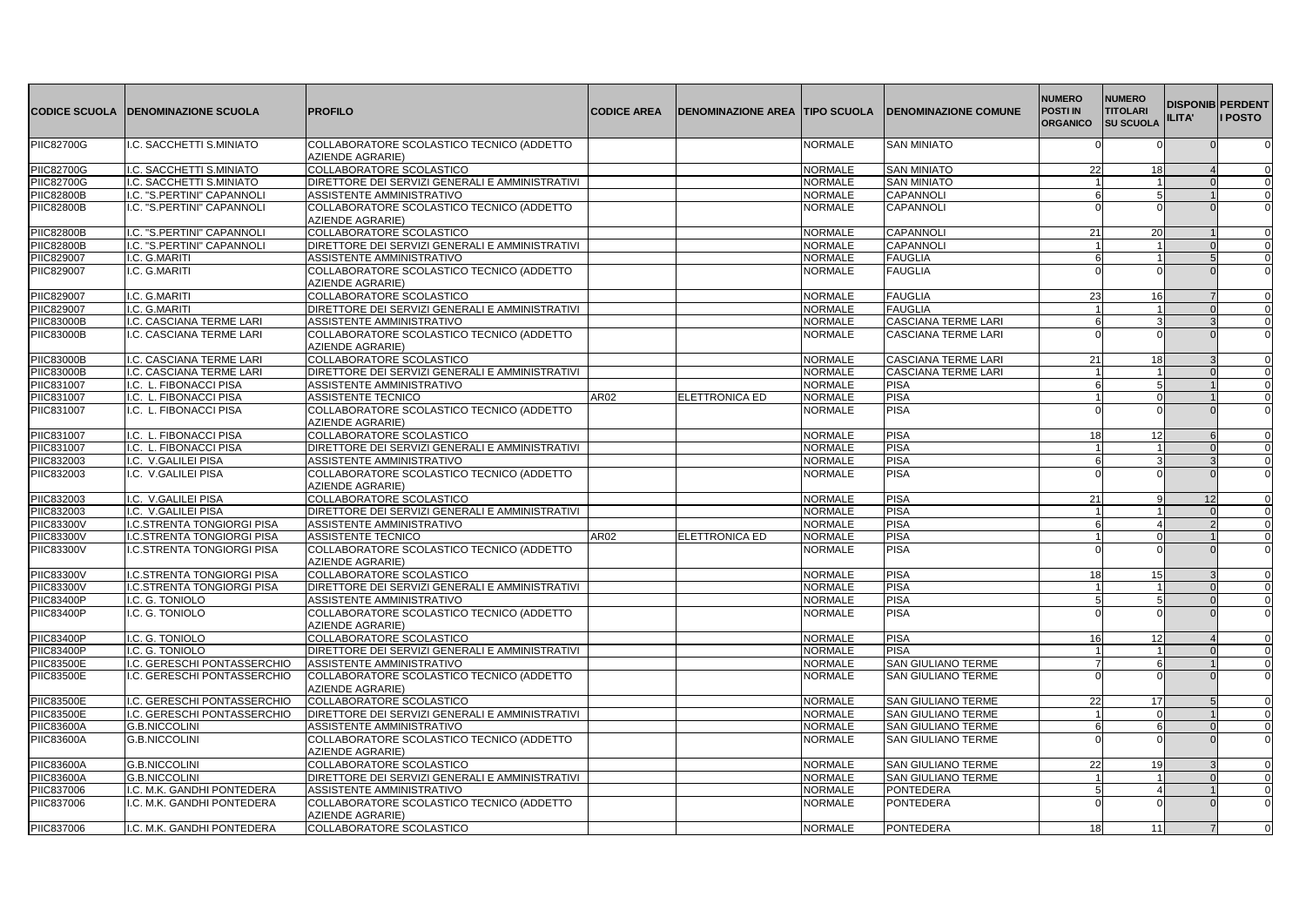|                                 | <b>CODICE SCUOLA  DENOMINAZIONE SCUOLA</b> | <b>PROFILO</b>                                                | <b>CODICE AREA</b> | <b>DENOMINAZIONE AREA TIPO SCUOLA</b> |                | <b>IDENOMINAZIONE COMUNE</b> | <b>NUMERO</b><br><b>POSTI IN</b><br><b>ORGANICO</b> | <b>NUMERO</b><br><b>TITOLARI</b><br><b>SU SCUOLA</b> | ILITA' | <b>DISPONIB PERDENT</b><br><b>I</b> POSTO |
|---------------------------------|--------------------------------------------|---------------------------------------------------------------|--------------------|---------------------------------------|----------------|------------------------------|-----------------------------------------------------|------------------------------------------------------|--------|-------------------------------------------|
| <b>PIIC82700G</b>               | I.C. SACCHETTI S.MINIATO                   | COLLABORATORE SCOLASTICO TECNICO (ADDETTO<br>AZIENDE AGRARIE) |                    |                                       | <b>NORMALE</b> | <b>SAN MINIATO</b>           | $\Omega$                                            |                                                      |        | 0                                         |
| <b>PIIC82700G</b>               | I.C. SACCHETTI S.MINIATO                   | COLLABORATORE SCOLASTICO                                      |                    |                                       | <b>NORMALE</b> | <b>SAN MINIATO</b>           | 22                                                  | 18                                                   |        | $\Omega$                                  |
| <b>PIIC82700G</b>               | I.C. SACCHETTI S.MINIATO                   | DIRETTORE DEI SERVIZI GENERALI E AMMINISTRATIVI               |                    |                                       | <b>NORMALE</b> | <b>SAN MINIATO</b>           | 1                                                   |                                                      |        | $\Omega$                                  |
| <b>PIIC82800B</b>               | I.C. "S.PERTINI" CAPANNOL                  | ASSISTENTE AMMINISTRATIVO                                     |                    |                                       | <b>NORMALE</b> | CAPANNOLI                    |                                                     |                                                      |        |                                           |
| <b>PIIC82800B</b>               | I.C. "S.PERTINI" CAPANNOLI                 | COLLABORATORE SCOLASTICO TECNICO (ADDETTO                     |                    |                                       | <b>NORMALE</b> | CAPANNOLI                    |                                                     |                                                      |        |                                           |
|                                 |                                            | AZIENDE AGRARIE)                                              |                    |                                       |                |                              |                                                     |                                                      |        |                                           |
| <b>PIIC82800B</b>               | I.C. "S.PERTINI" CAPANNOLI                 | COLLABORATORE SCOLASTICO                                      |                    |                                       | <b>NORMALE</b> | CAPANNOL                     | 21                                                  | 20                                                   |        | $\Omega$                                  |
| <b>PIIC82800B</b>               | I.C. "S.PERTINI" CAPANNOLI                 | DIRETTORE DEI SERVIZI GENERALI E AMMINISTRATIVI               |                    |                                       | <b>NORMALE</b> | CAPANNOL                     | 11                                                  |                                                      |        | $\Omega$                                  |
| <b>PIIC829007</b>               | I.C. G.MARITI                              | ASSISTENTE AMMINISTRATIVO                                     |                    |                                       | <b>NORMALE</b> | <b>FAUGLIA</b>               | 6                                                   |                                                      |        |                                           |
| PIIC829007                      | I.C. G.MARITI                              | COLLABORATORE SCOLASTICO TECNICO (ADDETTO<br>AZIENDE AGRARIE) |                    |                                       | NORMALE        | <b>FAUGLIA</b>               |                                                     |                                                      |        | $\Omega$                                  |
|                                 | I.C. G.MARITI                              | COLLABORATORE SCOLASTICO                                      |                    |                                       | <b>NORMALE</b> | <b>FAUGLIA</b>               | 23                                                  | 16                                                   |        |                                           |
| PIIC829007<br><b>PIIC829007</b> | I.C. G.MARITI                              | DIRETTORE DEI SERVIZI GENERALI E AMMINISTRATIVI               |                    |                                       | <b>NORMALE</b> | <b>FAUGLIA</b>               | $\blacktriangleleft$                                |                                                      |        |                                           |
| <b>PIIC83000B</b>               | I.C. CASCIANA TERME LARI                   | ASSISTENTE AMMINISTRATIVO                                     |                    |                                       | <b>NORMALE</b> | <b>CASCIANA TERME LARI</b>   | 6                                                   | 3                                                    |        | $\Omega$                                  |
| <b>PIIC83000B</b>               | I.C. CASCIANA TERME LARI                   | COLLABORATORE SCOLASTICO TECNICO (ADDETTO                     |                    |                                       | <b>NORMALE</b> | <b>CASCIANA TERME LARI</b>   |                                                     |                                                      |        |                                           |
|                                 |                                            | AZIENDE AGRARIE)                                              |                    |                                       |                |                              |                                                     |                                                      |        |                                           |
| <b>PIIC83000B</b>               | I.C. CASCIANA TERME LARI                   | COLLABORATORE SCOLASTICO                                      |                    |                                       | <b>NORMALE</b> | CASCIANA TERME LARI          | 21                                                  | 18                                                   |        |                                           |
| <b>PIIC83000B</b>               | I.C. CASCIANA TERME LARI                   | DIRETTORE DEI SERVIZI GENERALI E AMMINISTRATIVI               |                    |                                       | <b>NORMALE</b> | <b>CASCIANA TERME LARI</b>   | $\overline{1}$                                      |                                                      |        | $\Omega$                                  |
| PIIC831007                      | I.C. L. FIBONACCI PISA                     | ASSISTENTE AMMINISTRATIVO                                     |                    |                                       | <b>NORMALE</b> | <b>PISA</b>                  | 6                                                   | 5                                                    |        | $\Omega$                                  |
| PIIC831007                      | I.C. L. FIBONACCI PISA                     | ASSISTENTE TECNICO                                            | AR02               | ELETTRONICA ED                        | <b>NORMALE</b> | <b>PISA</b>                  | 11                                                  | $\Omega$                                             |        | $\Omega$                                  |
| PIIC831007                      | I.C. L. FIBONACCI PISA                     | COLLABORATORE SCOLASTICO TECNICO (ADDETTO<br>AZIENDE AGRARIE) |                    |                                       | <b>NORMALE</b> | <b>PISA</b>                  |                                                     |                                                      |        | $\Omega$                                  |
| <b>PIIC831007</b>               | I.C. L. FIBONACCI PISA                     | COLLABORATORE SCOLASTICO                                      |                    |                                       | <b>NORMALE</b> | <b>PISA</b>                  | 18                                                  | 12                                                   |        | $\Omega$                                  |
| PIIC831007                      | I.C. L. FIBONACCI PISA                     | DIRETTORE DEI SERVIZI GENERALI E AMMINISTRATIVI               |                    |                                       | <b>NORMALE</b> | <b>PISA</b>                  | 11                                                  |                                                      |        |                                           |
| PIIC832003                      | I.C. V.GALILEI PISA                        | ASSISTENTE AMMINISTRATIVO                                     |                    |                                       | NORMALE        | <b>PISA</b>                  | ĥ                                                   |                                                      |        | 0                                         |
| PIIC832003                      | I.C. V.GALILEI PISA                        | COLLABORATORE SCOLASTICO TECNICO (ADDETTO<br>AZIENDE AGRARIE) |                    |                                       | <b>NORMALE</b> | <b>PISA</b>                  |                                                     |                                                      |        |                                           |
| <b>PIIC832003</b>               | I.C. V.GALILEI PISA                        | COLLABORATORE SCOLASTICO                                      |                    |                                       | <b>NORMALE</b> | <b>PISA</b>                  | 21                                                  |                                                      | 12     |                                           |
| PIIC832003                      | I.C. V.GALILEI PISA                        | DIRETTORE DEI SERVIZI GENERALI E AMMINISTRATIVI               |                    |                                       | NORMALE        | <b>PISA</b>                  | 1                                                   |                                                      |        | 0                                         |
| <b>PIIC83300V</b>               | <b>I.C.STRENTA TONGIORGI PISA</b>          | ASSISTENTE AMMINISTRATIVO                                     |                    |                                       | <b>NORMALE</b> | <b>PISA</b>                  | 6                                                   | Δ                                                    |        | 0                                         |
| <b>PIIC83300V</b>               | <b>I.C.STRENTA TONGIORGI PISA</b>          | <b>ASSISTENTE TECNICO</b>                                     | AR02               | ELETTRONICA ED                        | <b>NORMALE</b> | <b>PISA</b>                  | $\mathbf{1}$                                        | $\Omega$                                             |        | $\Omega$                                  |
| <b>PIIC83300V</b>               | I.C.STRENTA TONGIORGI PISA                 | COLLABORATORE SCOLASTICO TECNICO (ADDETTO<br>AZIENDE AGRARIE) |                    |                                       | <b>NORMALE</b> | <b>PISA</b>                  |                                                     |                                                      |        |                                           |
| <b>PIIC83300V</b>               | <b>I.C.STRENTA TONGIORGI PISA</b>          | COLLABORATORE SCOLASTICO                                      |                    |                                       | <b>NORMALE</b> | <b>PISA</b>                  | 18                                                  | 15                                                   |        | 0                                         |
| <b>PIIC83300V</b>               | <b>I.C.STRENTA TONGIORGI PISA</b>          | DIRETTORE DEI SERVIZI GENERALI E AMMINISTRATIVI               |                    |                                       | <b>NORMALE</b> | <b>PISA</b>                  | $\blacktriangleleft$                                |                                                      |        | 0                                         |
| <b>PIIC83400P</b>               | I.C. G. TONIOLO                            | ASSISTENTE AMMINISTRATIVO                                     |                    |                                       | <b>NORMALE</b> | <b>PISA</b>                  | 5                                                   |                                                      |        | $\Omega$                                  |
| <b>PIIC83400P</b>               | I.C. G. TONIOLO                            | COLLABORATORE SCOLASTICO TECNICO (ADDETTO<br>AZIENDE AGRARIE) |                    |                                       | <b>NORMALE</b> | <b>PISA</b>                  |                                                     |                                                      |        |                                           |
| <b>PIIC83400P</b>               | I.C. G. TONIOLO                            | COLLABORATORE SCOLASTICO                                      |                    |                                       | <b>NORMALE</b> | <b>PISA</b>                  | 16                                                  | 12                                                   |        |                                           |
| <b>PIIC83400P</b>               | I.C. G. TONIOLO                            | DIRETTORE DEI SERVIZI GENERALI E AMMINISTRATIVI               |                    |                                       | <b>NORMALE</b> | <b>PISA</b>                  | 11                                                  |                                                      |        | 0                                         |
| <b>PIIC83500E</b>               | I.C. GERESCHI PONTASSERCHIO                | ASSISTENTE AMMINISTRATIVO                                     |                    |                                       | <b>NORMALE</b> | <b>SAN GIULIANO TERME</b>    | $\overline{7}$                                      | 6                                                    |        | $\Omega$                                  |
| <b>PIIC83500E</b>               | I.C. GERESCHI PONTASSERCHIO                | COLLABORATORE SCOLASTICO TECNICO (ADDETTO<br>AZIENDE AGRARIE) |                    |                                       | <b>NORMALE</b> | <b>SAN GIULIANO TERME</b>    |                                                     |                                                      |        |                                           |
| <b>PIIC83500E</b>               | I.C. GERESCHI PONTASSERCHIO                | COLLABORATORE SCOLASTICO                                      |                    |                                       | <b>NORMALE</b> | <b>SAN GIULIANO TERME</b>    | 22                                                  | 17                                                   |        | $\Omega$                                  |
| <b>PIIC83500E</b>               | I.C. GERESCHI PONTASSERCHIO                | DIRETTORE DEI SERVIZI GENERALI E AMMINISTRATIVI               |                    |                                       | <b>NORMALE</b> | <b>SAN GIULIANO TERME</b>    | 11                                                  |                                                      |        | $\Omega$                                  |
| <b>PIIC83600A</b>               | <b>G.B.NICCOLINI</b>                       | ASSISTENTE AMMINISTRATIVO                                     |                    |                                       | <b>NORMALE</b> | <b>SAN GIULIANO TERME</b>    | 6                                                   | 6                                                    |        | $\Omega$                                  |
| <b>PIIC83600A</b>               | <b>G.B.NICCOLINI</b>                       | COLLABORATORE SCOLASTICO TECNICO (ADDETTO<br>AZIENDE AGRARIE) |                    |                                       | <b>NORMALE</b> | <b>SAN GIULIANO TERME</b>    |                                                     |                                                      |        |                                           |
| <b>PIIC83600A</b>               | <b>G.B.NICCOLINI</b>                       | COLLABORATORE SCOLASTICO                                      |                    |                                       | <b>NORMALE</b> | <b>SAN GIULIANO TERME</b>    | 22                                                  | 19                                                   |        | 0                                         |
| <b>PIIC83600A</b>               | <b>G.B.NICCOLINI</b>                       | DIRETTORE DEI SERVIZI GENERALI E AMMINISTRATIVI               |                    |                                       | <b>NORMALE</b> | <b>SAN GIULIANO TERME</b>    | $\overline{1}$                                      |                                                      |        | 0                                         |
| PIIC837006                      | I.C. M.K. GANDHI PONTEDERA                 | ASSISTENTE AMMINISTRATIVO                                     |                    |                                       | <b>NORMALE</b> | <b>PONTEDERA</b>             | 5 <sup>1</sup>                                      | $\Delta$                                             |        |                                           |
| PIIC837006                      | I.C. M.K. GANDHI PONTEDERA                 | COLLABORATORE SCOLASTICO TECNICO (ADDETTO<br>AZIENDE AGRARIE) |                    |                                       | NORMALE        | <b>PONTEDERA</b>             |                                                     |                                                      |        |                                           |
| PIIC837006                      | I.C. M.K. GANDHI PONTEDERA                 | COLLABORATORE SCOLASTICO                                      |                    |                                       | <b>NORMALE</b> | <b>PONTEDERA</b>             | 18                                                  | 11                                                   |        | $\Omega$                                  |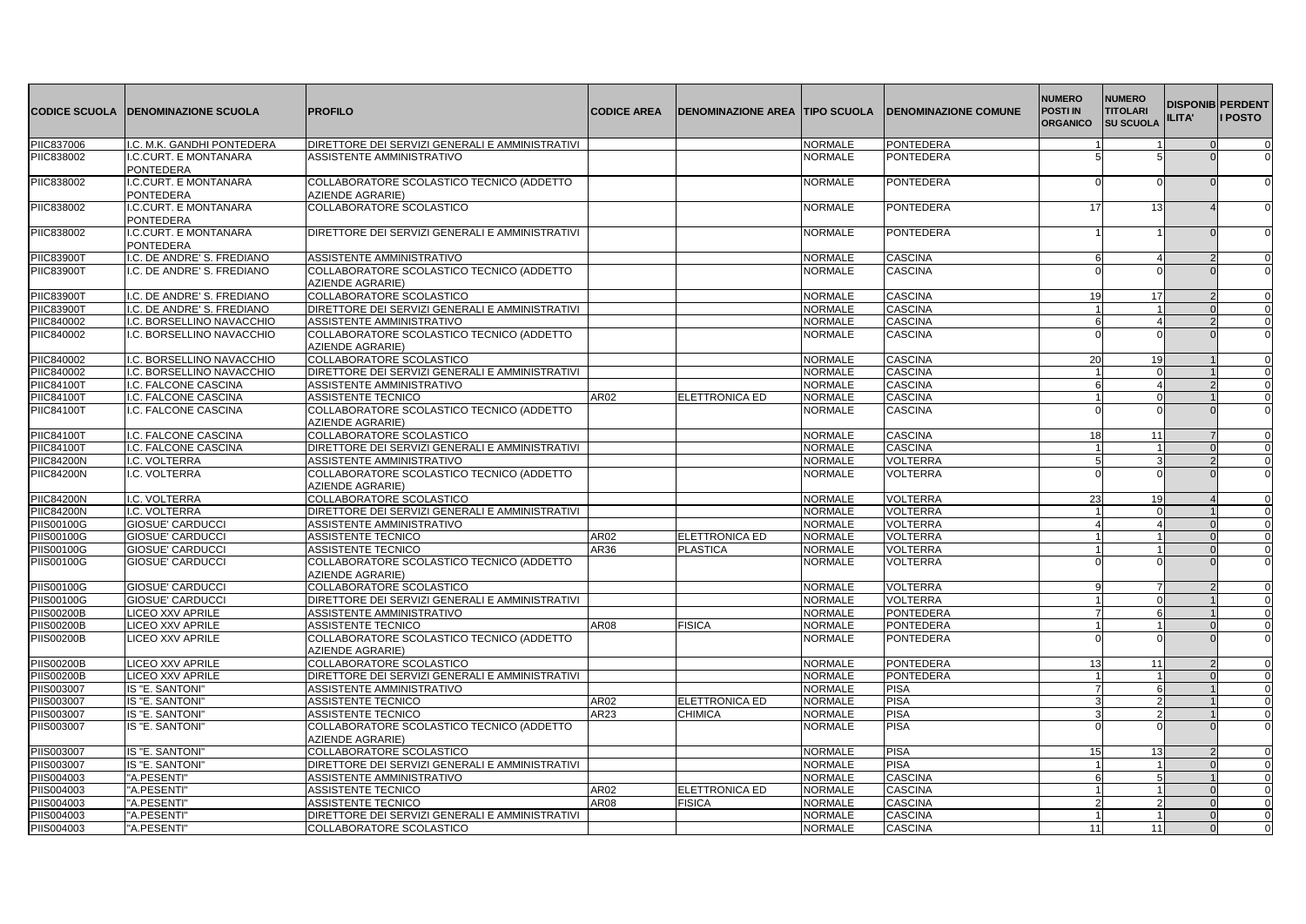|                   | <b>CODICE SCUOLA DENOMINAZIONE SCUOLA</b> | <b>PROFILO</b>                                                | <b>CODICE AREA</b> | <b>DENOMINAZIONE AREA TIPO SCUOLA</b> |                | <b>IDENOMINAZIONE COMUNE</b> | <b>NUMERO</b><br><b>POSTI IN</b><br><b>ORGANICO</b> | <b>NUMERO</b><br><b>TITOLARI</b><br><b>SU SCUOLA</b> | <b>DISPONIB PERDENT</b><br>ILITA' | <b>I POSTO</b> |
|-------------------|-------------------------------------------|---------------------------------------------------------------|--------------------|---------------------------------------|----------------|------------------------------|-----------------------------------------------------|------------------------------------------------------|-----------------------------------|----------------|
| PIIC837006        | I.C. M.K. GANDHI PONTEDERA                | DIRETTORE DEI SERVIZI GENERALI E AMMINISTRATIVI               |                    |                                       | <b>NORMALE</b> | <b>PONTEDERA</b>             |                                                     |                                                      |                                   | $\mathbf 0$    |
| PIIC838002        | I.C.CURT. E MONTANARA<br><b>PONTEDERA</b> | ASSISTENTE AMMINISTRATIVO                                     |                    |                                       | <b>NORMALE</b> | <b>PONTEDERA</b>             | 5                                                   |                                                      |                                   | $\Omega$       |
| PIIC838002        | I.C.CURT. E MONTANARA<br><b>PONTEDERA</b> | COLLABORATORE SCOLASTICO TECNICO (ADDETTO<br>AZIENDE AGRARIE) |                    |                                       | <b>NORMALE</b> | <b>PONTEDERA</b>             | $\Omega$                                            |                                                      |                                   |                |
| PIIC838002        | I.C.CURT. E MONTANARA<br><b>PONTEDERA</b> | COLLABORATORE SCOLASTICO                                      |                    |                                       | <b>NORMALE</b> | <b>PONTEDERA</b>             | 17                                                  | 13 <sup>1</sup>                                      |                                   |                |
| PIIC838002        | I.C.CURT. E MONTANARA<br><b>PONTEDERA</b> | DIRETTORE DEI SERVIZI GENERALI E AMMINISTRATIVI               |                    |                                       | <b>NORMALE</b> | <b>PONTEDERA</b>             |                                                     |                                                      |                                   | $\Omega$       |
| <b>PIIC83900T</b> | I.C. DE ANDRE' S. FREDIANO                | ASSISTENTE AMMINISTRATIVO                                     |                    |                                       | <b>NORMALE</b> | <b>CASCINA</b>               | 6                                                   |                                                      |                                   |                |
| <b>PIIC83900T</b> | I.C. DE ANDRE'S. FREDIANO                 | COLLABORATORE SCOLASTICO TECNICO (ADDETTO<br>AZIENDE AGRARIE) |                    |                                       | <b>NORMALE</b> | <b>CASCINA</b>               |                                                     |                                                      |                                   | $\Omega$       |
| <b>PIIC83900T</b> | I.C. DE ANDRE'S. FREDIANO                 | COLLABORATORE SCOLASTICO                                      |                    |                                       | <b>NORMALE</b> | <b>CASCINA</b>               | 19                                                  | 17                                                   |                                   | $\Omega$       |
| <b>PIIC83900T</b> | I.C. DE ANDRE' S. FREDIANO                | DIRETTORE DEI SERVIZI GENERALI E AMMINISTRATIVI               |                    |                                       | <b>NORMALE</b> | <b>CASCINA</b>               | $\mathbf{1}$                                        |                                                      |                                   |                |
| PIIC840002        | I.C. BORSELLINO NAVACCHIO                 | ASSISTENTE AMMINISTRATIVO                                     |                    |                                       | <b>NORMALE</b> | <b>CASCINA</b>               | 6                                                   | Δ                                                    |                                   | 0              |
| <b>PIIC840002</b> | I.C. BORSELLINO NAVACCHIO                 | COLLABORATORE SCOLASTICO TECNICO (ADDETTO<br>AZIENDE AGRARIE) |                    |                                       | <b>NORMALE</b> | <b>CASCINA</b>               |                                                     |                                                      |                                   |                |
| PIIC840002        | I.C. BORSELLINO NAVACCHIO                 | COLLABORATORE SCOLASTICO                                      |                    |                                       | <b>NORMALE</b> | <b>CASCINA</b>               | 20                                                  | 19                                                   |                                   |                |
| <b>PIIC840002</b> | I.C. BORSELLINO NAVACCHIO                 | DIRETTORE DEI SERVIZI GENERALI E AMMINISTRATIVI               |                    |                                       | <b>NORMALE</b> | <b>CASCINA</b>               | $\overline{1}$                                      | $\Omega$                                             |                                   | $\Omega$       |
| <b>PIIC84100T</b> | I.C. FALCONE CASCINA                      | ASSISTENTE AMMINISTRATIVO                                     |                    |                                       | <b>NORMALE</b> | <b>CASCINA</b>               | 6                                                   | 4                                                    |                                   | $\Omega$       |
| PIIC84100T        | I.C. FALCONE CASCINA                      | ASSISTENTE TECNICO                                            | AR02               | ELETTRONICA ED                        | <b>NORMALE</b> | <b>CASCINA</b>               | $\overline{1}$                                      | $\Omega$                                             |                                   |                |
| PIIC84100T        | I.C. FALCONE CASCINA                      | COLLABORATORE SCOLASTICO TECNICO (ADDETTO<br>AZIENDE AGRARIE) |                    |                                       | <b>NORMALE</b> | <b>CASCINA</b>               |                                                     |                                                      |                                   |                |
| <b>PIIC84100T</b> | I.C. FALCONE CASCINA                      | COLLABORATORE SCOLASTICO                                      |                    |                                       | <b>NORMALE</b> | <b>CASCINA</b>               | 18                                                  | 11                                                   |                                   | $\Omega$       |
| <b>PIIC84100T</b> | I.C. FALCONE CASCINA                      | DIRETTORE DEI SERVIZI GENERALI E AMMINISTRATIVI               |                    |                                       | <b>NORMALE</b> | <b>CASCINA</b>               | 11                                                  | 1                                                    |                                   | $\Omega$       |
| <b>PIIC84200N</b> | I.C. VOLTERRA                             | ASSISTENTE AMMINISTRATIVO                                     |                    |                                       | <b>NORMALE</b> | <b>VOLTERRA</b>              | 5                                                   |                                                      |                                   | 0              |
| <b>PIIC84200N</b> | I.C. VOLTERRA                             | COLLABORATORE SCOLASTICO TECNICO (ADDETTO<br>AZIENDE AGRARIE) |                    |                                       | <b>NORMALE</b> | <b>VOLTERRA</b>              |                                                     |                                                      |                                   | $\Omega$       |
| <b>PIIC84200N</b> | I.C. VOLTERRA                             | <b>COLLABORATORE SCOLASTICO</b>                               |                    |                                       | <b>NORMALE</b> | <b>VOLTERRA</b>              | 23                                                  | 19                                                   |                                   |                |
| <b>PIIC84200N</b> | I.C. VOLTERRA                             | DIRETTORE DEI SERVIZI GENERALI E AMMINISTRATIVI               |                    |                                       | <b>NORMALE</b> | <b>VOLTERRA</b>              | $\blacktriangleleft$                                |                                                      |                                   | $\Omega$       |
| <b>PIIS00100G</b> | <b>GIOSUE' CARDUCCI</b>                   | ASSISTENTE AMMINISTRATIVO                                     |                    |                                       | <b>NORMALE</b> | <b>VOLTERRA</b>              | $\overline{4}$                                      | $\boldsymbol{\Lambda}$                               |                                   | $\Omega$       |
| PIIS00100G        | <b>GIOSUE' CARDUCCI</b>                   | ASSISTENTE TECNICO                                            | AR02               | ELETTRONICA ED                        | <b>NORMALE</b> | <b>VOLTERRA</b>              |                                                     |                                                      |                                   | <sup>n</sup>   |
| <b>PIIS00100G</b> | <b>GIOSUE' CARDUCCI</b>                   | <b>ASSISTENTE TECNICO</b>                                     | AR36               | <b>PLASTICA</b>                       | <b>NORMALE</b> | <b>VOLTERRA</b>              | 11                                                  |                                                      |                                   |                |
| <b>PIIS00100G</b> | <b>GIOSUE' CARDUCCI</b>                   | COLLABORATORE SCOLASTICO TECNICO (ADDETTO<br>AZIENDE AGRARIE) |                    |                                       | <b>NORMALE</b> | VOLTERRA                     |                                                     |                                                      |                                   |                |
| PIIS00100G        | <b>GIOSUE' CARDUCCI</b>                   | COLLABORATORE SCOLASTICO                                      |                    |                                       | <b>NORMALE</b> | <b>VOLTERRA</b>              | 9                                                   |                                                      |                                   |                |
| <b>PIIS00100G</b> | <b>GIOSUE' CARDUCCI</b>                   | DIRETTORE DEI SERVIZI GENERALI E AMMINISTRATIVI               |                    |                                       | <b>NORMALE</b> | VOLTERRA                     | 1 <sup>1</sup>                                      |                                                      |                                   |                |
| <b>PIIS00200B</b> | <b>LICEO XXV APRILE</b>                   | ASSISTENTE AMMINISTRATIVO                                     |                    |                                       | NORMALE        | <b>PONTEDERA</b>             |                                                     | 6                                                    |                                   | 0              |
| <b>PIIS00200B</b> | LICEO XXV APRILE                          | <b>ASSISTENTE TECNICO</b>                                     | AR08               | <b>FISICA</b>                         | <b>NORMALE</b> | <b>PONTEDERA</b>             | $\overline{1}$                                      |                                                      |                                   | $\Omega$       |
| <b>PIIS00200B</b> | <b>LICEO XXV APRILE</b>                   | COLLABORATORE SCOLASTICO TECNICO (ADDETTO<br>AZIENDE AGRARIE) |                    |                                       | <b>NORMALE</b> | <b>PONTEDERA</b>             | $\Omega$                                            | n                                                    |                                   | $\Omega$       |
| <b>PIIS00200B</b> | <b>LICEO XXV APRILE</b>                   | COLLABORATORE SCOLASTICO                                      |                    |                                       | <b>NORMALE</b> | <b>PONTEDERA</b>             | 13                                                  | 11                                                   |                                   | 0              |
| <b>PIIS00200B</b> | <b>LICEO XXV APRILE</b>                   | DIRETTORE DEI SERVIZI GENERALI E AMMINISTRATIVI               |                    |                                       | <b>NORMALE</b> | <b>PONTEDERA</b>             | 1                                                   |                                                      |                                   | $\Omega$       |
| <b>PIIS003007</b> | IS "E. SANTONI"                           | ASSISTENTE AMMINISTRATIVO                                     |                    |                                       | <b>NORMALE</b> | <b>PISA</b>                  | $\overline{7}$                                      | 6                                                    |                                   |                |
| <b>PIIS003007</b> | IS "E. SANTONI"                           | <b>ASSISTENTE TECNICO</b>                                     | <b>AR02</b>        | <b>ELETTRONICA ED</b>                 | <b>NORMALE</b> | <b>PISA</b>                  | 3                                                   | $\mathfrak{p}$                                       |                                   |                |
| <b>PIIS003007</b> | IS "E. SANTONI"                           | ASSISTENTE TECNICO                                            | AR23               | CHIMICA                               | <b>NORMALE</b> | <b>PISA</b>                  | 3                                                   | $\mathfrak{p}$                                       |                                   | $\Omega$       |
| PIIS003007        | IS "E. SANTONI"                           | COLLABORATORE SCOLASTICO TECNICO (ADDETTO<br>AZIENDE AGRARIE) |                    |                                       | <b>NORMALE</b> | <b>PISA</b>                  |                                                     |                                                      |                                   |                |
| PIIS003007        | IS "E. SANTONI"                           | COLLABORATORE SCOLASTICO                                      |                    |                                       | <b>NORMALE</b> | PISA                         | 15                                                  |                                                      |                                   |                |
| <b>PIIS003007</b> | IS "E. SANTONI                            | DIRETTORE DEI SERVIZI GENERALI E AMMINISTRATIVI               |                    |                                       | <b>NORMALE</b> | <b>PISA</b>                  | 11                                                  |                                                      |                                   | 0              |
| <b>PIIS004003</b> | "A.PESENTI"                               | ASSISTENTE AMMINISTRATIVO                                     |                    |                                       | <b>NORMALE</b> | <b>CASCINA</b>               | 6                                                   | 5                                                    |                                   | $\Omega$       |
| PIIS004003        | "A.PESENTI"                               | ASSISTENTE TECNICO                                            | AR02               | ELETTRONICA ED                        | <b>NORMALE</b> | <b>CASCINA</b>               | 11                                                  |                                                      |                                   | $\Omega$       |
| PIIS004003        | "A.PESENTI'                               | <b>ASSISTENTE TECNICO</b>                                     | AR08               | <b>FISICA</b>                         | <b>NORMALE</b> | CASCINA                      | $\overline{2}$                                      | $\mathcal{P}$                                        |                                   | 0              |
| PIIS004003        | "A.PESENTI"                               | DIRETTORE DEI SERVIZI GENERALI E AMMINISTRATIVI               |                    |                                       | <b>NORMALE</b> | <b>CASCINA</b>               | 11                                                  | $\mathbf{1}$                                         |                                   | $\Omega$       |
| PIIS004003        | "A.PESENTI"                               | COLLABORATORE SCOLASTICO                                      |                    |                                       | <b>NORMALE</b> | <b>CASCINA</b>               | 11                                                  | 11                                                   |                                   | $\Omega$       |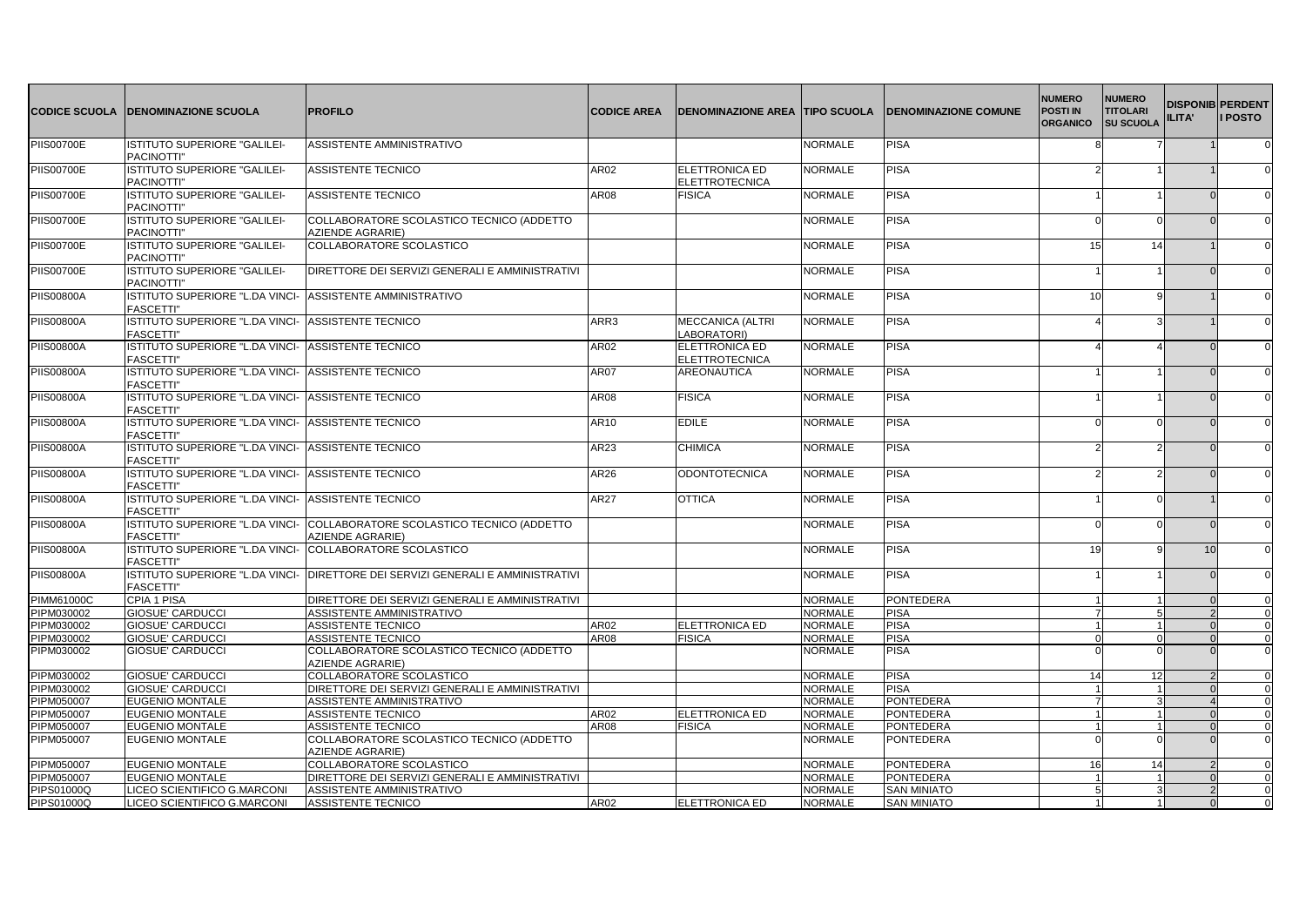| <b>CODICE SCUOLA</b> | <b>IDENOMINAZIONE SCUOLA</b>                                           | <b>PROFILO</b>                                                | <b>CODICE AREA</b> | <b>DENOMINAZIONE AREA TTIPO SCUOLA</b>         |                | <b>DENOMINAZIONE COMUNE</b> | <b>NUMERO</b><br><b>POSTI IN</b><br><b>ORGANICO</b> | <b>NUMERO</b><br><b>TITOLARI</b><br><b>SU SCUOLA</b> | <b>DISPONIB PERDENT</b><br>ILITA' | <b>I</b> POSTO |
|----------------------|------------------------------------------------------------------------|---------------------------------------------------------------|--------------------|------------------------------------------------|----------------|-----------------------------|-----------------------------------------------------|------------------------------------------------------|-----------------------------------|----------------|
| <b>PIIS00700E</b>    | ISTITUTO SUPERIORE "GALILEI-<br>PACINOTTI"                             | ASSISTENTE AMMINISTRATIVO                                     |                    |                                                | <b>NORMALE</b> | <b>PISA</b>                 | 8                                                   |                                                      |                                   |                |
| <b>PIIS00700E</b>    | ISTITUTO SUPERIORE "GALILEI-<br>PACINOTTI"                             | <b>ASSISTENTE TECNICO</b>                                     | AR02               | <b>ELETTRONICA ED</b><br><b>ELETTROTECNICA</b> | <b>NORMALE</b> | <b>PISA</b>                 |                                                     |                                                      |                                   |                |
| <b>PIIS00700E</b>    | ISTITUTO SUPERIORE "GALILEI-<br>PACINOTTI"                             | ASSISTENTE TECNICO                                            | AR08               | <b>FISICA</b>                                  | <b>NORMALE</b> | <b>PISA</b>                 |                                                     |                                                      |                                   |                |
| <b>PIIS00700E</b>    | <b>ISTITUTO SUPERIORE "GALILEI-</b><br>PACINOTTI"                      | COLLABORATORE SCOLASTICO TECNICO (ADDETTO<br>AZIENDE AGRARIE) |                    |                                                | <b>NORMALE</b> | <b>PISA</b>                 | ∩                                                   |                                                      |                                   |                |
| <b>PIIS00700E</b>    | ISTITUTO SUPERIORE "GALILEI-<br>PACINOTTI"                             | COLLABORATORE SCOLASTICO                                      |                    |                                                | <b>NORMALE</b> | <b>PISA</b>                 | 15                                                  | 14                                                   |                                   |                |
| <b>PIIS00700E</b>    | ISTITUTO SUPERIORE "GALILEI-<br>PACINOTTI"                             | DIRETTORE DEI SERVIZI GENERALI E AMMINISTRATIVI               |                    |                                                | <b>NORMALE</b> | <b>PISA</b>                 |                                                     |                                                      |                                   |                |
| <b>PIIS00800A</b>    | ISTITUTO SUPERIORE "L.DA VINCI-<br><b>FASCETTI"</b>                    | ASSISTENTE AMMINISTRATIVO                                     |                    |                                                | <b>NORMALE</b> | <b>PISA</b>                 | 10                                                  |                                                      |                                   |                |
| <b>PIIS00800A</b>    | ISTITUTO SUPERIORE "L.DA VINCI-<br><b>FASCETTI"</b>                    | <b>ASSISTENTE TECNICO</b>                                     | ARR3               | <b>MECCANICA (ALTRI</b><br>LABORATORI)         | <b>NORMALE</b> | <b>PISA</b>                 |                                                     |                                                      |                                   |                |
| <b>PIIS00800A</b>    | ISTITUTO SUPERIORE "L.DA VINCI-<br><b>FASCETTI'</b>                    | <b>ASSISTENTE TECNICO</b>                                     | AR02               | ELETTRONICA ED<br><b>ELETTROTECNICA</b>        | <b>NORMALE</b> | <b>PISA</b>                 |                                                     |                                                      |                                   |                |
| <b>PIIS00800A</b>    | ISTITUTO SUPERIORE "L.DA VINCI- ASSISTENTE TECNICO<br><b>FASCETTI"</b> |                                                               | <b>AR07</b>        | <b>AREONAUTICA</b>                             | <b>NORMALE</b> | <b>PISA</b>                 |                                                     |                                                      |                                   |                |
| <b>PIIS00800A</b>    | ISTITUTO SUPERIORE "L.DA VINCI-<br><b>FASCETTI"</b>                    | <b>ASSISTENTE TECNICO</b>                                     | AR08               | <b>FISICA</b>                                  | <b>NORMALE</b> | <b>PISA</b>                 |                                                     |                                                      |                                   |                |
| <b>PIIS00800A</b>    | ISTITUTO SUPERIORE "L.DA VINCI-<br><b>FASCETTI'</b>                    | <b>ASSISTENTE TECNICO</b>                                     | AR10               | <b>EDILE</b>                                   | <b>NORMALE</b> | <b>PISA</b>                 | $\Omega$                                            |                                                      |                                   |                |
| <b>PIIS00800A</b>    | ISTITUTO SUPERIORE "L.DA VINCI-<br><b>FASCETTI'</b>                    | ASSISTENTE TECNICO                                            | AR23               | <b>CHIMICA</b>                                 | <b>NORMALE</b> | <b>PISA</b>                 |                                                     |                                                      |                                   |                |
| <b>PIIS00800A</b>    | ISTITUTO SUPERIORE "L.DA VINCI-<br><b>FASCETTI"</b>                    | <b>ASSISTENTE TECNICO</b>                                     | AR26               | <b>ODONTOTECNICA</b>                           | <b>NORMALE</b> | <b>PISA</b>                 |                                                     |                                                      |                                   |                |
| <b>PIIS00800A</b>    | ISTITUTO SUPERIORE "L.DA VINCI-<br><b>FASCETTI"</b>                    | <b>ASSISTENTE TECNICO</b>                                     | AR27               | <b>OTTICA</b>                                  | <b>NORMALE</b> | <b>PISA</b>                 |                                                     |                                                      |                                   |                |
| <b>PIIS00800A</b>    | ISTITUTO SUPERIORE "L.DA VINCI-<br><b>FASCETTI'</b>                    | COLLABORATORE SCOLASTICO TECNICO (ADDETTO<br>AZIENDE AGRARIE) |                    |                                                | <b>NORMALE</b> | <b>PISA</b>                 |                                                     |                                                      |                                   |                |
| <b>PIIS00800A</b>    | ISTITUTO SUPERIORE "L.DA VINCI-<br><b>FASCETTI'</b>                    | COLLABORATORE SCOLASTICO                                      |                    |                                                | <b>NORMALE</b> | <b>PISA</b>                 | 19                                                  |                                                      | 10                                |                |
| <b>PIIS00800A</b>    | ISTITUTO SUPERIORE "L.DA VINCI-<br><b>FASCETTI"</b>                    | <b>IDIRETTORE DEI SERVIZI GENERALI E AMMINISTRATIVI</b>       |                    |                                                | <b>NORMALE</b> | <b>PISA</b>                 |                                                     |                                                      |                                   | $\Omega$       |
| PIMM61000C           | <b>CPIA 1 PISA</b>                                                     | DIRETTORE DEI SERVIZI GENERALI E AMMINISTRATIVI               |                    |                                                | <b>NORMALE</b> | <b>PONTEDERA</b>            | $\blacktriangleleft$                                |                                                      |                                   |                |
| PIPM030002           | <b>GIOSUE' CARDUCCI</b>                                                | ASSISTENTE AMMINISTRATIVO                                     |                    |                                                | <b>NORMALE</b> | <b>PISA</b>                 | $\overline{7}$                                      |                                                      |                                   | 0              |
| PIPM030002           | <b>GIOSUE' CARDUCCI</b>                                                | <b>ASSISTENTE TECNICO</b>                                     | AR02               | ELETTRONICA ED                                 | <b>NORMALE</b> | <b>PISA</b>                 | 1                                                   |                                                      |                                   |                |
| PIPM030002           | <b>GIOSUE' CARDUCCI</b>                                                | ASSISTENTE TECNICO                                            | AR08               | <b>FISICA</b>                                  | <b>NORMALE</b> | <b>PISA</b>                 | $\Omega$                                            | $\Omega$                                             |                                   |                |
| PIPM030002           | <b>GIOSUE' CARDUCCI</b>                                                | COLLABORATORE SCOLASTICO TECNICO (ADDETTO<br>AZIENDE AGRARIE) |                    |                                                | <b>NORMALE</b> | <b>PISA</b>                 | $\Omega$                                            |                                                      |                                   |                |
| PIPM030002           | <b>GIOSUE' CARDUCCI</b>                                                | COLLABORATORE SCOLASTICO                                      |                    |                                                | <b>NORMALE</b> | <b>PISA</b>                 | 14                                                  | 12                                                   |                                   |                |
| PIPM030002           | <b>GIOSUE' CARDUCCI</b>                                                | DIRETTORE DEI SERVIZI GENERALI E AMMINISTRATIVI               |                    |                                                | <b>NORMALE</b> | <b>PISA</b>                 | 1                                                   |                                                      |                                   |                |
| PIPM050007           | <b>EUGENIO MONTALE</b>                                                 | ASSISTENTE AMMINISTRATIVO                                     |                    |                                                | <b>NORMALE</b> | PONTEDERA                   | $\overline{7}$                                      |                                                      |                                   | $\Omega$       |
| PIPM050007           | <b>EUGENIO MONTALE</b>                                                 | <b>ASSISTENTE TECNICO</b>                                     | AR02               | <b>ELETTRONICA ED</b>                          | <b>NORMALE</b> | <b>PONTEDERA</b>            |                                                     |                                                      |                                   |                |
| <b>PIPM050007</b>    | <b>EUGENIO MONTALE</b>                                                 | <b>ASSISTENTE TECNICO</b>                                     | <b>AR08</b>        | <b>FISICA</b>                                  | <b>NORMALE</b> | <b>PONTEDERA</b>            | $\overline{1}$                                      |                                                      |                                   |                |
| PIPM050007           | <b>EUGENIO MONTALE</b>                                                 | COLLABORATORE SCOLASTICO TECNICO (ADDETTO<br>AZIENDE AGRARIE) |                    |                                                | <b>NORMALE</b> | <b>PONTEDERA</b>            |                                                     |                                                      |                                   |                |
| PIPM050007           | <b>EUGENIO MONTALE</b>                                                 | COLLABORATORE SCOLASTICO                                      |                    |                                                | <b>NORMALE</b> | <b>PONTEDERA</b>            | 16                                                  | 14                                                   |                                   |                |
| PIPM050007           | <b>EUGENIO MONTALE</b>                                                 | DIRETTORE DEI SERVIZI GENERALI E AMMINISTRATIVI               |                    |                                                | <b>NORMALE</b> | <b>PONTEDERA</b>            |                                                     |                                                      |                                   | 0              |
| PIPS01000Q           | LICEO SCIENTIFICO G.MARCONI                                            | <b>ASSISTENTE AMMINISTRATIVO</b>                              |                    |                                                | <b>NORMALE</b> | <b>SAN MINIATO</b>          | 5 <sup>1</sup>                                      |                                                      |                                   |                |
| PIPS01000Q           | LICEO SCIENTIFICO G.MARCONI                                            | <b>ASSISTENTE TECNICO</b>                                     | AR02               | <b>IELETTRONICA ED</b>                         | <b>NORMALE</b> | <b>SAN MINIATO</b>          | $\vert$ 1                                           |                                                      |                                   |                |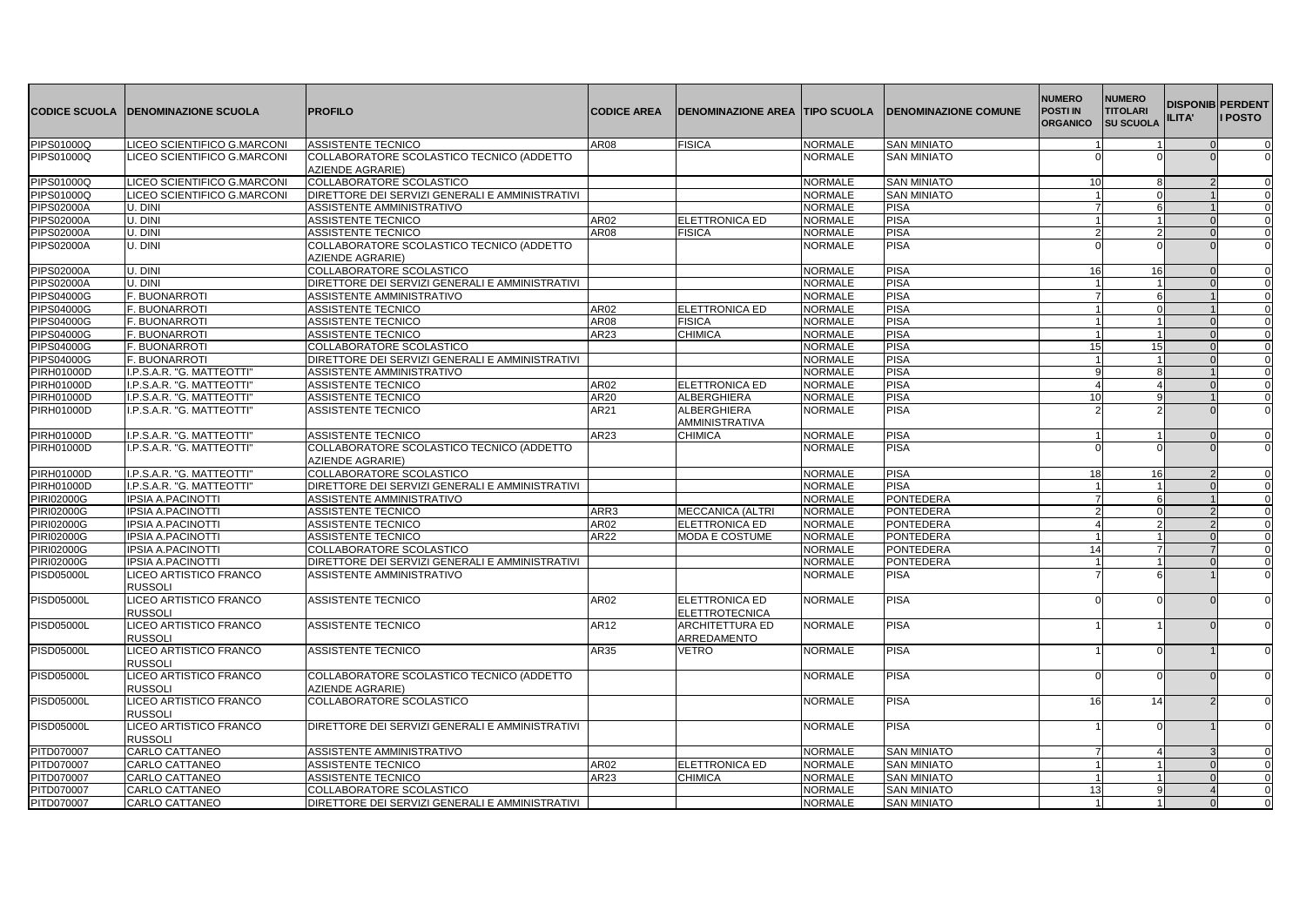| <b>CODICE SCUOLA</b> | <b>DENOMINAZIONE SCUOLA</b>                     | <b>PROFILO</b>                                                | <b>CODICE AREA</b> | <b>DENOMINAZIONE AREA TIPO SCUOLA</b> |                | <b>IDENOMINAZIONE COMUNE</b> | <b>NUMERO</b><br><b>POSTI IN</b><br><b>ORGANICO</b> | <b>NUMERO</b><br><b>TITOLARI</b><br><b>SU SCUOLA</b> | <b>DISPONIB PERDENT</b><br><b>ILITA'</b> | <b>I POSTO</b> |
|----------------------|-------------------------------------------------|---------------------------------------------------------------|--------------------|---------------------------------------|----------------|------------------------------|-----------------------------------------------------|------------------------------------------------------|------------------------------------------|----------------|
| PIPS01000Q           | LICEO SCIENTIFICO G.MARCONI                     | ASSISTENTE TECNICO                                            | AR08               | <b>FISICA</b>                         | <b>NORMALE</b> | <b>SAN MINIATO</b>           | $\mathbf{1}$                                        |                                                      |                                          | $\Omega$       |
| PIPS01000Q           | LICEO SCIENTIFICO G.MARCONI                     | COLLABORATORE SCOLASTICO TECNICO (ADDETTO<br>AZIENDE AGRARIE) |                    |                                       | <b>NORMALE</b> | <b>SAN MINIATO</b>           | $\Omega$                                            |                                                      |                                          | $\Omega$       |
| PIPS01000Q           | LICEO SCIENTIFICO G.MARCONI                     | COLLABORATORE SCOLASTICO                                      |                    |                                       | <b>NORMALE</b> | <b>SAN MINIATO</b>           | 10                                                  |                                                      |                                          |                |
| PIPS01000Q           | LICEO SCIENTIFICO G.MARCONI                     | DIRETTORE DEI SERVIZI GENERALI E AMMINISTRATIVI               |                    |                                       | <b>NORMALE</b> | <b>SAN MINIATO</b>           | 1                                                   |                                                      |                                          |                |
| <b>PIPS02000A</b>    | U. DINI                                         | ASSISTENTE AMMINISTRATIVO                                     |                    |                                       | <b>NORMALE</b> | <b>PISA</b>                  | $\overline{7}$                                      | 6                                                    |                                          | $\Omega$       |
| <b>PIPS02000A</b>    | U. DINI                                         | ASSISTENTE TECNICO                                            | AR02               | ELETTRONICA ED                        | <b>NORMALE</b> | <b>PISA</b>                  | $\blacktriangleleft$                                |                                                      |                                          | $\Omega$       |
| <b>PIPS02000A</b>    | U. DINI                                         | <b>ASSISTENTE TECNICO</b>                                     | AR08               | <b>FISICA</b>                         | <b>NORMALE</b> | <b>PISA</b>                  | 2                                                   | C                                                    |                                          | $\Omega$       |
| <b>PIPS02000A</b>    | U. DINI                                         | COLLABORATORE SCOLASTICO TECNICO (ADDETTO<br>AZIENDE AGRARIE) |                    |                                       | <b>NORMALE</b> | <b>PISA</b>                  |                                                     |                                                      |                                          | $\Omega$       |
| <b>PIPS02000A</b>    | U. DINI                                         | COLLABORATORE SCOLASTICO                                      |                    |                                       | <b>NORMALE</b> | <b>PISA</b>                  | 16                                                  | 16                                                   |                                          | $\Omega$       |
| <b>PIPS02000A</b>    | U. DINI                                         | DIRETTORE DEI SERVIZI GENERALI E AMMINISTRATIVI               |                    |                                       | <b>NORMALE</b> | <b>PISA</b>                  | $\blacktriangleleft$                                |                                                      |                                          | <sup>n</sup>   |
| PIPS04000G           | <b>F. BUONARROTI</b>                            | ASSISTENTE AMMINISTRATIVO                                     |                    |                                       | <b>NORMALE</b> | <b>PISA</b>                  | $\overline{7}$                                      |                                                      |                                          | $\Omega$       |
| PIPS04000G           | <b>F. BUONARROTI</b>                            | ASSISTENTE TECNICO                                            | AR02               | ELETTRONICA ED                        | <b>NORMALE</b> | <b>PISA</b>                  | 1                                                   | $\Omega$                                             |                                          | $\Omega$       |
| PIPS04000G           | <b>F. BUONARROTI</b>                            | ASSISTENTE TECNICO                                            | AR08               | <b>FISICA</b>                         | <b>NORMALE</b> | PISA                         | $\mathbf{1}$                                        |                                                      |                                          |                |
| PIPS04000G           | <b>F. BUONARROTI</b>                            | ASSISTENTE TECNICO                                            | AR23               | <b>CHIMICA</b>                        | <b>NORMALE</b> | <b>PISA</b>                  | 11                                                  |                                                      |                                          | $\Omega$       |
| PIPS04000G           | <b>F. BUONARROTI</b>                            | COLLABORATORE SCOLASTICO                                      |                    |                                       | <b>NORMALE</b> | <b>PISA</b>                  | 15                                                  | 15                                                   |                                          | $\Omega$       |
| PIPS04000G           | <b>F. BUONARROTI</b>                            | DIRETTORE DEI SERVIZI GENERALI E AMMINISTRATIVI               |                    |                                       | <b>NORMALE</b> | <b>PISA</b>                  | 1                                                   |                                                      |                                          |                |
| PIRH01000D           | I.P.S.A.R. "G. MATTEOTTI"                       | ASSISTENTE AMMINISTRATIVO                                     |                    |                                       | <b>NORMALE</b> | <b>PISA</b>                  | 9                                                   | 8                                                    |                                          | 0              |
| <b>PIRH01000D</b>    | I.P.S.A.R. "G. MATTEOTTI"                       | ASSISTENTE TECNICO                                            | AR02               | ELETTRONICA ED                        | <b>NORMALE</b> | <b>PISA</b>                  | $\mathbf 4$                                         | 4                                                    |                                          | $\Omega$       |
| PIRH01000D           | I.P.S.A.R. "G. MATTEOTTI"                       | <b>ASSISTENTE TECNICO</b>                                     | AR20               | ALBERGHIERA                           | <b>NORMALE</b> | <b>PISA</b>                  | 10                                                  | a                                                    |                                          | $\Omega$       |
| PIRH01000D           | I.P.S.A.R. "G. MATTEOTTI"                       | <b>ASSISTENTE TECNICO</b>                                     | AR21               | ALBERGHIERA<br><b>AMMINISTRATIVA</b>  | <b>NORMALE</b> | <b>PISA</b>                  |                                                     |                                                      |                                          |                |
| PIRH01000D           | I.P.S.A.R. "G. MATTEOTTI"                       | <b>ASSISTENTE TECNICO</b>                                     | AR23               | <b>CHIMICA</b>                        | <b>NORMALE</b> | <b>PISA</b>                  | $\mathbf{1}$                                        |                                                      |                                          |                |
| PIRH01000D           | I.P.S.A.R. "G. MATTEOTTI"                       | COLLABORATORE SCOLASTICO TECNICO (ADDETTO<br>AZIENDE AGRARIE) |                    |                                       | <b>NORMALE</b> | PISA                         |                                                     |                                                      |                                          |                |
| PIRH01000D           | I.P.S.A.R. "G. MATTEOTTI"                       | COLLABORATORE SCOLASTICO                                      |                    |                                       | <b>NORMALE</b> | <b>PISA</b>                  | 18                                                  | 16                                                   |                                          |                |
| PIRH01000D           | I.P.S.A.R. "G. MATTEOTTI"                       | DIRETTORE DEI SERVIZI GENERALI E AMMINISTRATIVI               |                    |                                       | <b>NORMALE</b> | <b>PISA</b>                  | $\blacktriangleleft$                                |                                                      |                                          | $\Omega$       |
| PIRI02000G           | <b>IPSIA A.PACINOTTI</b>                        | ASSISTENTE AMMINISTRATIVO                                     |                    |                                       | <b>NORMALE</b> | <b>PONTEDERA</b>             | $\overline{7}$                                      | ĥ                                                    |                                          | $\Omega$       |
| PIRI02000G           | <b>IPSIA A.PACINOTTI</b>                        | ASSISTENTE TECNICO                                            | ARR3               | MECCANICA (ALTRI                      | <b>NORMALE</b> | <b>PONTEDERA</b>             | $\mathfrak{p}$                                      | $\Omega$                                             |                                          | $\Omega$       |
| <b>PIRI02000G</b>    | <b>IPSIA A.PACINOTTI</b>                        | ASSISTENTE TECNICO                                            | AR02               | ELETTRONICA ED                        | <b>NORMALE</b> | <b>PONTEDERA</b>             | $\overline{4}$                                      | $\mathcal{P}$                                        |                                          |                |
| PIRI02000G           | <b>IPSIA A.PACINOTTI</b>                        | ASSISTENTE TECNICO                                            | AR22               | <b>MODA E COSTUME</b>                 | <b>NORMALE</b> | <b>PONTEDERA</b>             | $\overline{1}$                                      |                                                      |                                          | 0              |
| PIRI02000G           | <b>IPSIA A.PACINOTTI</b>                        | COLLABORATORE SCOLASTICO                                      |                    |                                       | <b>NORMALE</b> | PONTEDERA                    | 14                                                  |                                                      |                                          | $\Omega$       |
| <b>PIRI02000G</b>    | <b>IPSIA A.PACINOTTI</b>                        | DIRETTORE DEI SERVIZI GENERALI E AMMINISTRATIVI               |                    |                                       | <b>NORMALE</b> | <b>PONTEDERA</b>             | 1                                                   |                                                      |                                          |                |
| PISD05000L           | LICEO ARTISTICO FRANCO<br><b>RUSSOLI</b>        | ASSISTENTE AMMINISTRATIVO                                     |                    |                                       | <b>NORMALE</b> | PISA                         |                                                     |                                                      |                                          |                |
| PISD05000L           | <b>LICEO ARTISTICO FRANCO</b><br><b>RUSSOL</b>  | <b>ASSISTENTE TECNICO</b>                                     | AR02               | ELETTRONICA ED<br>ELETTROTECNICA      | <b>NORMALE</b> | <b>PISA</b>                  | $\Omega$                                            |                                                      |                                          | $\Omega$       |
| PISD05000L           | LICEO ARTISTICO FRANCO<br><b>RUSSOLI</b>        | ASSISTENTE TECNICO                                            | AR12               | ARCHITETTURA ED<br>ARREDAMENTO        | <b>NORMALE</b> | <b>PISA</b>                  |                                                     |                                                      |                                          |                |
| <b>PISD05000L</b>    | LICEO ARTISTICO FRANCO<br><b>RUSSOLI</b>        | ASSISTENTE TECNICO                                            | AR35               | VETRO                                 | <b>NORMALE</b> | <b>PISA</b>                  |                                                     |                                                      |                                          |                |
| PISD05000L           | LICEO ARTISTICO FRANCO<br><b>RUSSOLI</b>        | COLLABORATORE SCOLASTICO TECNICO (ADDETTO<br>AZIENDE AGRARIE) |                    |                                       | NORMALE        | PISA                         | $\Omega$                                            | n                                                    |                                          | <sup>n</sup>   |
| PISD05000L           | <b>LICEO ARTISTICO FRANCO</b><br><b>RUSSOLI</b> | COLLABORATORE SCOLASTICO                                      |                    |                                       | <b>NORMALE</b> | <b>PISA</b>                  | 16                                                  | 14                                                   |                                          | $\Omega$       |
| PISD05000L           | LICEO ARTISTICO FRANCO<br><b>RUSSOLI</b>        | DIRETTORE DEI SERVIZI GENERALI E AMMINISTRATIVI               |                    |                                       | <b>NORMALE</b> | <b>PISA</b>                  | $\overline{1}$                                      |                                                      |                                          | U              |
| PITD070007           | CARLO CATTANEO                                  | ASSISTENTE AMMINISTRATIVO                                     |                    |                                       | <b>NORMALE</b> | <b>SAN MINIATO</b>           | $\overline{7}$                                      | 4                                                    |                                          | $\Omega$       |
| PITD070007           | <b>CARLO CATTANEO</b>                           | ASSISTENTE TECNICO                                            | AR02               | ELETTRONICA ED                        | <b>NORMALE</b> | <b>SAN MINIATO</b>           | 1                                                   |                                                      |                                          |                |
| PITD070007           | CARLO CATTANEO                                  | ASSISTENTE TECNICO                                            | AR23               | CHIMICA                               | <b>NORMALE</b> | <b>SAN MINIATO</b>           | $\overline{1}$                                      |                                                      |                                          |                |
| PITD070007           | <b>CARLO CATTANEO</b>                           | COLLABORATORE SCOLASTICO                                      |                    |                                       | <b>NORMALE</b> | <b>SAN MINIATO</b>           | 13                                                  | q                                                    |                                          | $\Omega$       |
| PITD070007           | <b>CARLO CATTANEO</b>                           | DIRETTORE DEI SERVIZI GENERALI E AMMINISTRATIVI               |                    |                                       | <b>NORMALE</b> | <b>SAN MINIATO</b>           | 11                                                  |                                                      |                                          |                |